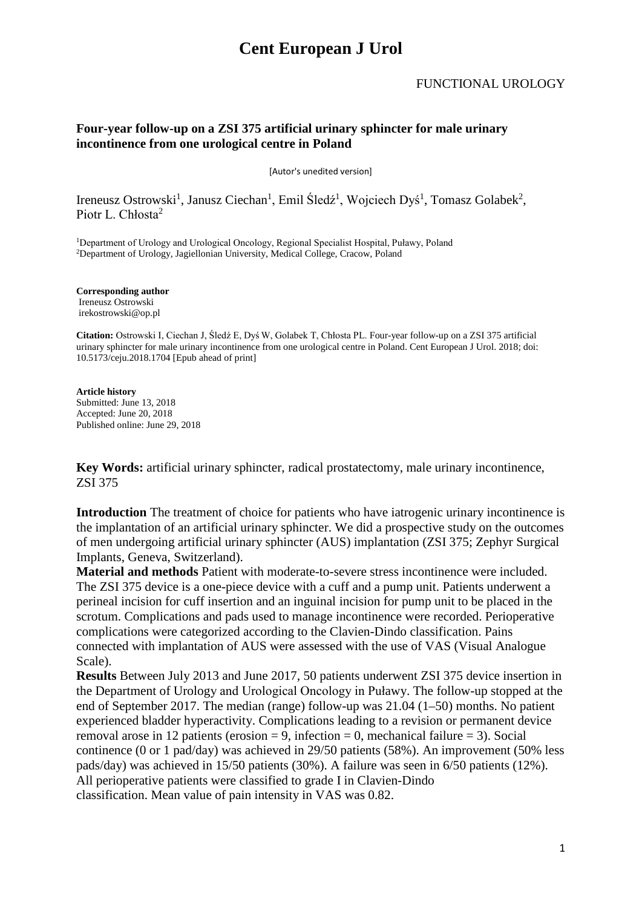#### **Four-year follow-up on a ZSI 375 artificial urinary sphincter for male urinary incontinence from one urological centre in Poland**

[Autor's unedited version]

Ireneusz Ostrowski<sup>1</sup>, Janusz Ciechan<sup>1</sup>, Emil Śledź<sup>1</sup>, Wojciech Dyś<sup>1</sup>, Tomasz Golabek<sup>2</sup>, Piotr L. Chłosta<sup>2</sup>

<sup>1</sup>Department of Urology and Urological Oncology, Regional Specialist Hospital, Puławy, Poland 2Department of Urology, Jagiellonian University, Medical College, Cracow, Poland

**Corresponding author** Ireneusz Ostrowski irekostrowski@op.pl

**Citation:** Ostrowski I, Ciechan J, Śledź E, Dyś W, Golabek T, Chłosta PL. Four-year follow-up on a ZSI 375 artificial urinary sphincter for male urinary incontinence from one urological centre in Poland. Cent European J Urol. 2018; doi: 10.5173/ceju.2018.1704 [Epub ahead of print]

#### **Article history** Submitted: June 13, 2018 Accepted: June 20, 2018 Published online: June 29, 2018

**Key Words:** artificial urinary sphincter, radical prostatectomy, male urinary incontinence, ZSI 375

**Introduction** The treatment of choice for patients who have iatrogenic urinary incontinence is the implantation of an artificial urinary sphincter. We did a prospective study on the outcomes of men undergoing artificial urinary sphincter (AUS) implantation (ZSI 375; Zephyr Surgical Implants, Geneva, Switzerland).

**Material and methods** Patient with moderate-to-severe stress incontinence were included. The ZSI 375 device is a one-piece device with a cuff and a pump unit. Patients underwent a perineal incision for cuff insertion and an inguinal incision for pump unit to be placed in the scrotum. Complications and pads used to manage incontinence were recorded. Perioperative complications were categorized according to the Clavien-Dindo classification. Pains connected with implantation of AUS were assessed with the use of VAS (Visual Analogue Scale).

**Results** Between July 2013 and June 2017, 50 patients underwent ZSI 375 device insertion in the Department of Urology and Urological Oncology in Puławy. The follow-up stopped at the end of September 2017. The median (range) follow-up was 21.04 (1–50) months. No patient experienced bladder hyperactivity. Complications leading to a revision or permanent device removal arose in 12 patients (erosion  $= 9$ , infection  $= 0$ , mechanical failure  $= 3$ ). Social continence (0 or 1 pad/day) was achieved in 29/50 patients (58%). An improvement (50% less pads/day) was achieved in 15/50 patients (30%). A failure was seen in 6/50 patients (12%). All perioperative patients were classified to grade I in Clavien-Dindo classification. Mean value of pain intensity in VAS was 0.82.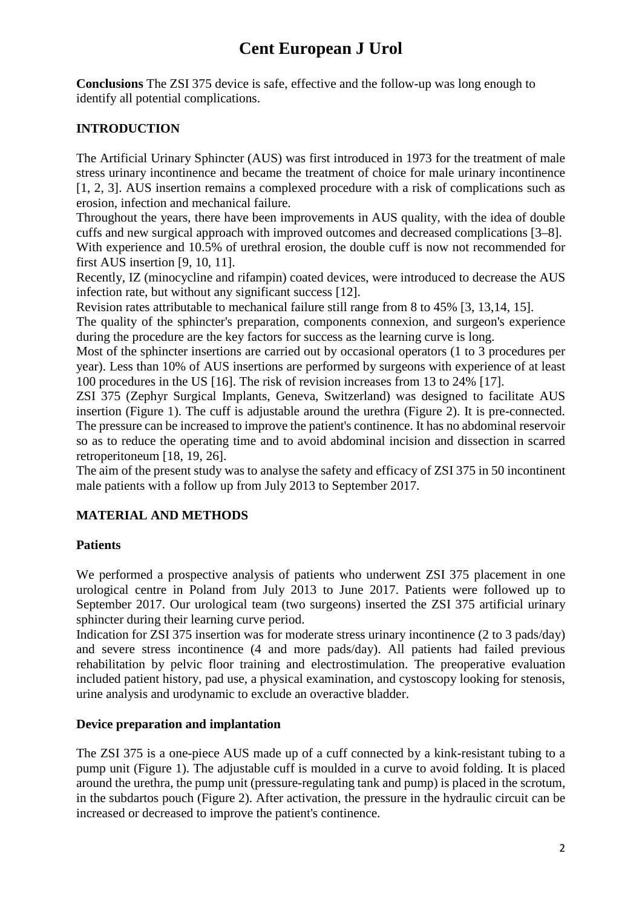**Conclusions** The ZSI 375 device is safe, effective and the follow-up was long enough to identify all potential complications.

### **INTRODUCTION**

The Artificial Urinary Sphincter (AUS) was first introduced in 1973 for the treatment of male stress urinary incontinence and became the treatment of choice for male urinary incontinence [1, 2, 3]. AUS insertion remains a complexed procedure with a risk of complications such as erosion, infection and mechanical failure.

Throughout the years, there have been improvements in AUS quality, with the idea of double cuffs and new surgical approach with improved outcomes and decreased complications [3–8].

With experience and 10.5% of urethral erosion, the double cuff is now not recommended for first AUS insertion [9, 10, 11].

Recently, IZ (minocycline and rifampin) coated devices, were introduced to decrease the AUS infection rate, but without any significant success [12].

Revision rates attributable to mechanical failure still range from 8 to 45% [3, 13,14, 15].

The quality of the sphincter's preparation, components connexion, and surgeon's experience during the procedure are the key factors for success as the learning curve is long.

Most of the sphincter insertions are carried out by occasional operators (1 to 3 procedures per year). Less than 10% of AUS insertions are performed by surgeons with experience of at least 100 procedures in the US [16]. The risk of revision increases from 13 to 24% [17].

ZSI 375 (Zephyr Surgical Implants, Geneva, Switzerland) was designed to facilitate AUS insertion (Figure 1). The cuff is adjustable around the urethra (Figure 2). It is pre-connected. The pressure can be increased to improve the patient's continence. It has no abdominal reservoir so as to reduce the operating time and to avoid abdominal incision and dissection in scarred retroperitoneum [18, 19, 26].

The aim of the present study was to analyse the safety and efficacy of ZSI 375 in 50 incontinent male patients with a follow up from July 2013 to September 2017.

### **MATERIAL AND METHODS**

#### **Patients**

We performed a prospective analysis of patients who underwent ZSI 375 placement in one urological centre in Poland from July 2013 to June 2017. Patients were followed up to September 2017. Our urological team (two surgeons) inserted the ZSI 375 artificial urinary sphincter during their learning curve period.

Indication for ZSI 375 insertion was for moderate stress urinary incontinence (2 to 3 pads/day) and severe stress incontinence (4 and more pads/day). All patients had failed previous rehabilitation by pelvic floor training and electrostimulation. The preoperative evaluation included patient history, pad use, a physical examination, and cystoscopy looking for stenosis, urine analysis and urodynamic to exclude an overactive bladder.

#### **Device preparation and implantation**

The ZSI 375 is a one-piece AUS made up of a cuff connected by a kink-resistant tubing to a pump unit (Figure 1). The adjustable cuff is moulded in a curve to avoid folding. It is placed around the urethra, the pump unit (pressure-regulating tank and pump) is placed in the scrotum, in the subdartos pouch (Figure 2). After activation, the pressure in the hydraulic circuit can be increased or decreased to improve the patient's continence.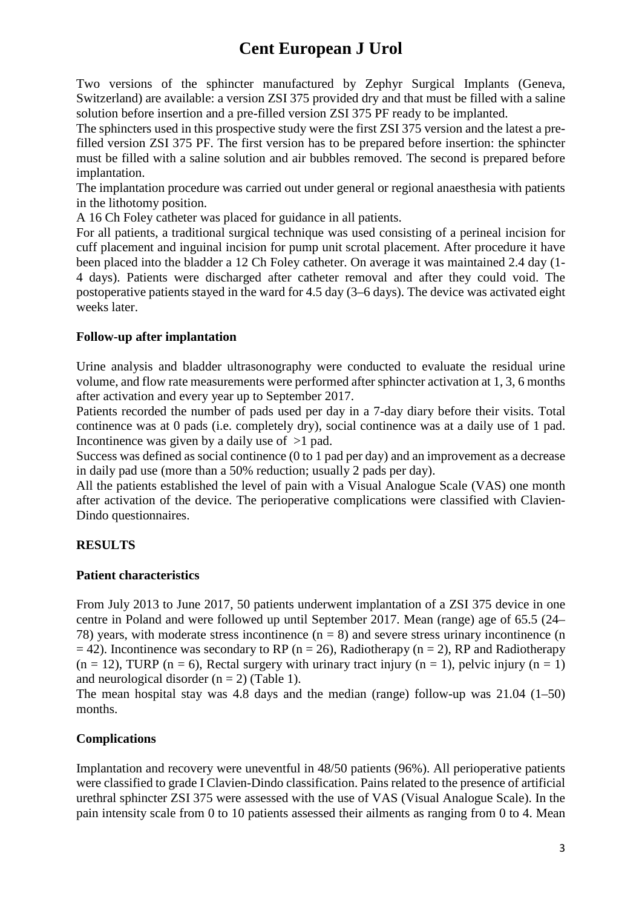Two versions of the sphincter manufactured by Zephyr Surgical Implants (Geneva, Switzerland) are available: a version ZSI 375 provided dry and that must be filled with a saline solution before insertion and a pre-filled version ZSI 375 PF ready to be implanted.

The sphincters used in this prospective study were the first ZSI 375 version and the latest a prefilled version ZSI 375 PF. The first version has to be prepared before insertion: the sphincter must be filled with a saline solution and air bubbles removed. The second is prepared before implantation.

The implantation procedure was carried out under general or regional anaesthesia with patients in the lithotomy position.

A 16 Ch Foley catheter was placed for guidance in all patients.

For all patients, a traditional surgical technique was used consisting of a perineal incision for cuff placement and inguinal incision for pump unit scrotal placement. After procedure it have been placed into the bladder a 12 Ch Foley catheter. On average it was maintained 2.4 day (1- 4 days). Patients were discharged after catheter removal and after they could void. The postoperative patients stayed in the ward for 4.5 day (3–6 days). The device was activated eight weeks later.

#### **Follow-up after implantation**

Urine analysis and bladder ultrasonography were conducted to evaluate the residual urine volume, and flow rate measurements were performed after sphincter activation at 1, 3, 6 months after activation and every year up to September 2017.

Patients recorded the number of pads used per day in a 7-day diary before their visits. Total continence was at 0 pads (i.e. completely dry), social continence was at a daily use of 1 pad. Incontinence was given by a daily use of >1 pad.

Success was defined as social continence (0 to 1 pad per day) and an improvement as a decrease in daily pad use (more than a 50% reduction; usually 2 pads per day).

All the patients established the level of pain with a Visual Analogue Scale (VAS) one month after activation of the device. The perioperative complications were classified with Clavien-Dindo questionnaires.

#### **RESULTS**

#### **Patient characteristics**

From July 2013 to June 2017, 50 patients underwent implantation of a ZSI 375 device in one centre in Poland and were followed up until September 2017. Mean (range) age of 65.5 (24– 78) years, with moderate stress incontinence  $(n = 8)$  and severe stress urinary incontinence  $(n = 8)$  $= 42$ ). Incontinence was secondary to RP (n = 26), Radiotherapy (n = 2), RP and Radiotherapy  $(n = 12)$ , TURP  $(n = 6)$ , Rectal surgery with urinary tract injury  $(n = 1)$ , pelvic injury  $(n = 1)$ and neurological disorder  $(n = 2)$  (Table 1).

The mean hospital stay was 4.8 days and the median (range) follow-up was 21.04 (1–50) months.

#### **Complications**

Implantation and recovery were uneventful in 48/50 patients (96%). All perioperative patients were classified to grade I Clavien-Dindo classification. Pains related to the presence of artificial urethral sphincter ZSI 375 were assessed with the use of VAS (Visual Analogue Scale). In the pain intensity scale from 0 to 10 patients assessed their ailments as ranging from 0 to 4. Mean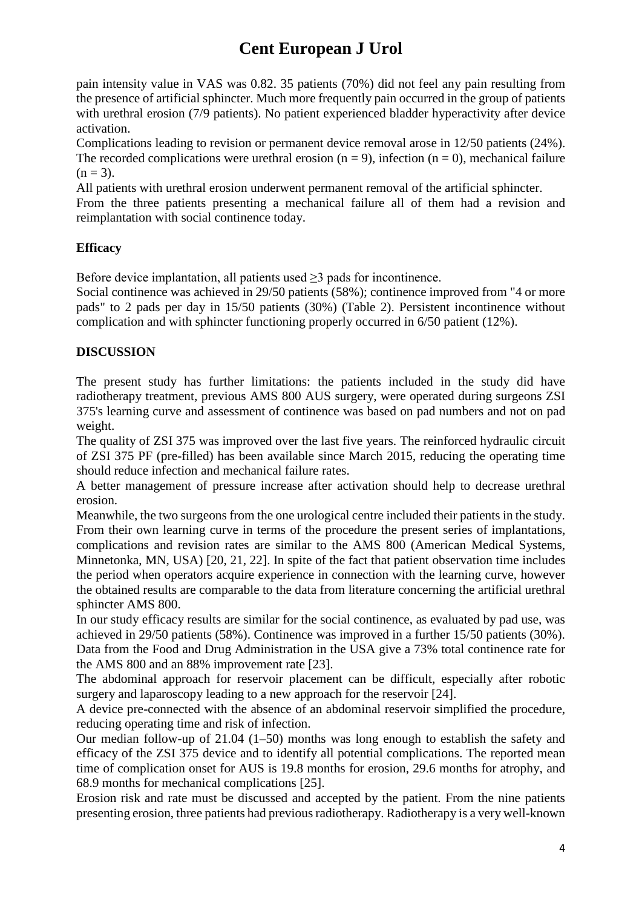pain intensity value in VAS was 0.82. 35 patients (70%) did not feel any pain resulting from the presence of artificial sphincter. Much more frequently pain occurred in the group of patients with urethral erosion (7/9 patients). No patient experienced bladder hyperactivity after device activation.

Complications leading to revision or permanent device removal arose in 12/50 patients (24%). The recorded complications were urethral erosion ( $n = 9$ ), infection ( $n = 0$ ), mechanical failure  $(n = 3)$ .

All patients with urethral erosion underwent permanent removal of the artificial sphincter.

From the three patients presenting a mechanical failure all of them had a revision and reimplantation with social continence today.

### **Efficacy**

Before device implantation, all patients used  $\geq$ 3 pads for incontinence.

Social continence was achieved in 29/50 patients (58%); continence improved from "4 or more pads" to 2 pads per day in 15/50 patients (30%) (Table 2). Persistent incontinence without complication and with sphincter functioning properly occurred in 6/50 patient (12%).

### **DISCUSSION**

The present study has further limitations: the patients included in the study did have radiotherapy treatment, previous AMS 800 AUS surgery, were operated during surgeons ZSI 375's learning curve and assessment of continence was based on pad numbers and not on pad weight.

The quality of ZSI 375 was improved over the last five years. The reinforced hydraulic circuit of ZSI 375 PF (pre-filled) has been available since March 2015, reducing the operating time should reduce infection and mechanical failure rates.

A better management of pressure increase after activation should help to decrease urethral erosion.

Meanwhile, the two surgeons from the one urological centre included their patients in the study. From their own learning curve in terms of the procedure the present series of implantations, complications and revision rates are similar to the AMS 800 (American Medical Systems, Minnetonka, MN, USA) [20, 21, 22]. In spite of the fact that patient observation time includes the period when operators acquire experience in connection with the learning curve, however the obtained results are comparable to the data from literature concerning the artificial urethral sphincter AMS 800.

In our study efficacy results are similar for the social continence, as evaluated by pad use, was achieved in 29/50 patients (58%). Continence was improved in a further 15/50 patients (30%). Data from the Food and Drug Administration in the USA give a 73% total continence rate for the AMS 800 and an 88% improvement rate [23].

The abdominal approach for reservoir placement can be difficult, especially after robotic surgery and laparoscopy leading to a new approach for the reservoir [24].

A device pre-connected with the absence of an abdominal reservoir simplified the procedure, reducing operating time and risk of infection.

Our median follow-up of 21.04 (1–50) months was long enough to establish the safety and efficacy of the ZSI 375 device and to identify all potential complications. The reported mean time of complication onset for AUS is 19.8 months for erosion, 29.6 months for atrophy, and 68.9 months for mechanical complications [25].

Erosion risk and rate must be discussed and accepted by the patient. From the nine patients presenting erosion, three patients had previous radiotherapy. Radiotherapy is a very well-known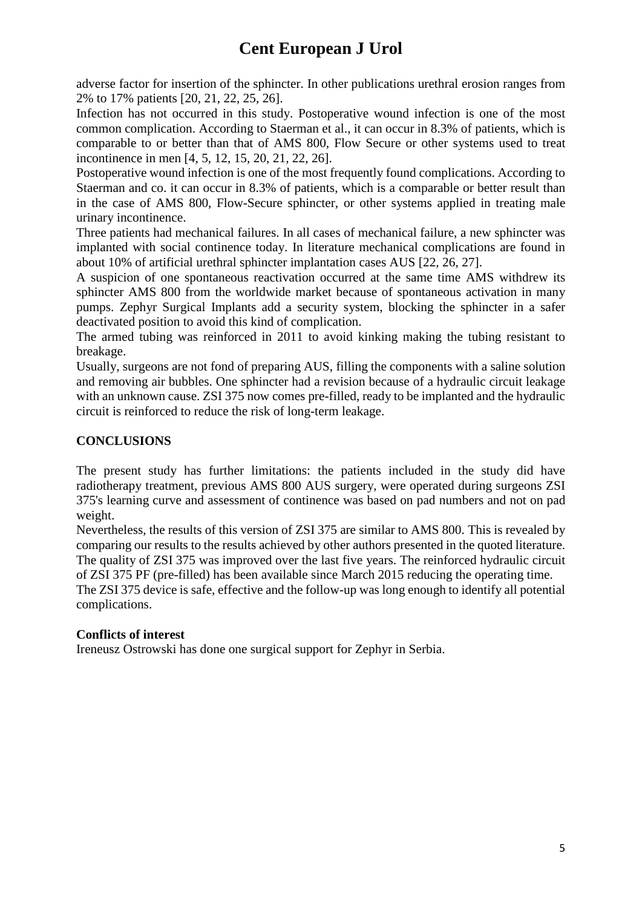adverse factor for insertion of the sphincter. In other publications urethral erosion ranges from 2% to 17% patients [20, 21, 22, 25, 26].

Infection has not occurred in this study. Postoperative wound infection is one of the most common complication. According to Staerman et al., it can occur in 8.3% of patients, which is comparable to or better than that of AMS 800, Flow Secure or other systems used to treat incontinence in men [4, 5, 12, 15, 20, 21, 22, 26].

Postoperative wound infection is one of the most frequently found complications. According to Staerman and co. it can occur in 8.3% of patients, which is a comparable or better result than in the case of AMS 800, Flow-Secure sphincter, or other systems applied in treating male urinary incontinence.

Three patients had mechanical failures. In all cases of mechanical failure, a new sphincter was implanted with social continence today. In literature mechanical complications are found in about 10% of artificial urethral sphincter implantation cases AUS [22, 26, 27].

A suspicion of one spontaneous reactivation occurred at the same time AMS withdrew its sphincter AMS 800 from the worldwide market because of spontaneous activation in many pumps. Zephyr Surgical Implants add a security system, blocking the sphincter in a safer deactivated position to avoid this kind of complication.

The armed tubing was reinforced in 2011 to avoid kinking making the tubing resistant to breakage.

Usually, surgeons are not fond of preparing AUS, filling the components with a saline solution and removing air bubbles. One sphincter had a revision because of a hydraulic circuit leakage with an unknown cause. ZSI 375 now comes pre-filled, ready to be implanted and the hydraulic circuit is reinforced to reduce the risk of long-term leakage.

### **CONCLUSIONS**

The present study has further limitations: the patients included in the study did have radiotherapy treatment, previous AMS 800 AUS surgery, were operated during surgeons ZSI 375's learning curve and assessment of continence was based on pad numbers and not on pad weight.

Nevertheless, the results of this version of ZSI 375 are similar to AMS 800. This is revealed by comparing our results to the results achieved by other authors presented in the quoted literature. The quality of ZSI 375 was improved over the last five years. The reinforced hydraulic circuit of ZSI 375 PF (pre-filled) has been available since March 2015 reducing the operating time.

The ZSI 375 device is safe, effective and the follow-up was long enough to identify all potential complications.

#### **Conflicts of interest**

Ireneusz Ostrowski has done one surgical support for Zephyr in Serbia.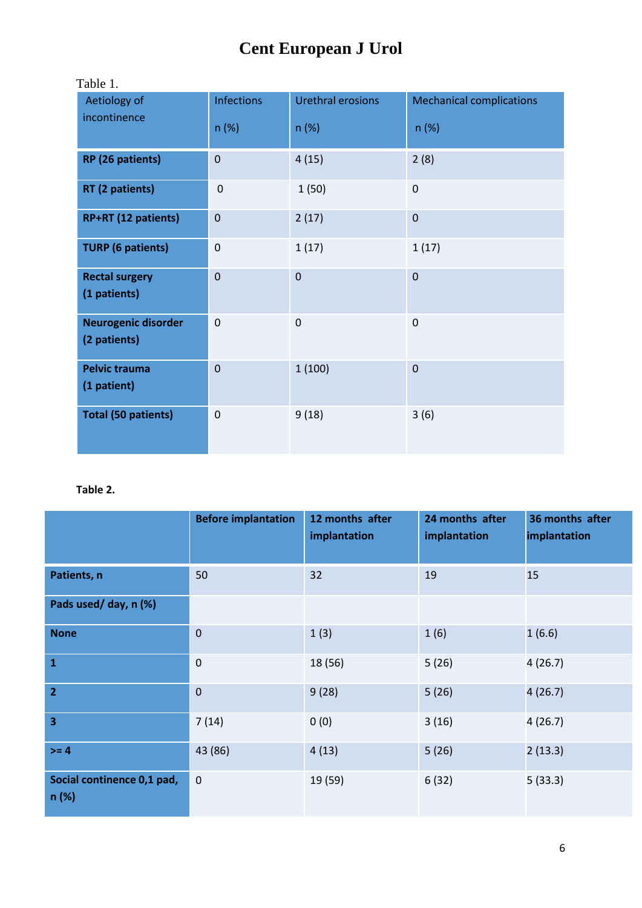| Table 1.                                   |                   |                   |                                 |  |  |  |  |
|--------------------------------------------|-------------------|-------------------|---------------------------------|--|--|--|--|
| Aetiology of<br>incontinence               | <b>Infections</b> | Urethral erosions | <b>Mechanical complications</b> |  |  |  |  |
|                                            | n(%)              | n(%)              | n(%)                            |  |  |  |  |
| RP (26 patients)                           | $\mathbf 0$       | 4(15)             | 2(8)                            |  |  |  |  |
| RT (2 patients)                            | $\mathbf 0$       | 1(50)             | $\mathbf 0$                     |  |  |  |  |
| RP+RT (12 patients)                        | $\mathbf 0$       | 2(17)             | $\pmb{0}$                       |  |  |  |  |
| <b>TURP (6 patients)</b>                   | $\mathbf 0$       | 1(17)             | 1(17)                           |  |  |  |  |
| <b>Rectal surgery</b><br>(1 patients)      | $\mathbf 0$       | $\mathbf 0$       | $\pmb{0}$                       |  |  |  |  |
| <b>Neurogenic disorder</b><br>(2 patients) | $\mathbf 0$       | $\mathbf 0$       | 0                               |  |  |  |  |
| <b>Pelvic trauma</b><br>(1 patient)        | $\mathbf 0$       | 1(100)            | $\pmb{0}$                       |  |  |  |  |
| <b>Total (50 patients)</b>                 | $\mathbf 0$       | 9(18)             | 3(6)                            |  |  |  |  |

#### **Table 2.**

|                                    | <b>Before implantation</b> | 12 months after<br>implantation | 24 months after<br>implantation | 36 months after<br>implantation |
|------------------------------------|----------------------------|---------------------------------|---------------------------------|---------------------------------|
| Patients, n                        | 50                         | 32                              | 19                              | 15                              |
| Pads used/ day, n (%)              |                            |                                 |                                 |                                 |
| <b>None</b>                        | $\mathbf 0$                | 1(3)                            | 1(6)                            | 1(6.6)                          |
| $\mathbf{1}$                       | $\mathbf 0$                | 18 (56)                         | 5(26)                           | 4(26.7)                         |
| $\overline{2}$                     | $\mathbf 0$                | 9(28)                           | 5(26)                           | 4(26.7)                         |
| 3                                  | 7(14)                      | 0(0)                            | 3(16)                           | 4(26.7)                         |
| $>= 4$                             | 43 (86)                    | 4(13)                           | 5(26)                           | 2(13.3)                         |
| Social continence 0,1 pad,<br>n(%) | $\mathbf 0$                | 19 (59)                         | 6(32)                           | 5(33.3)                         |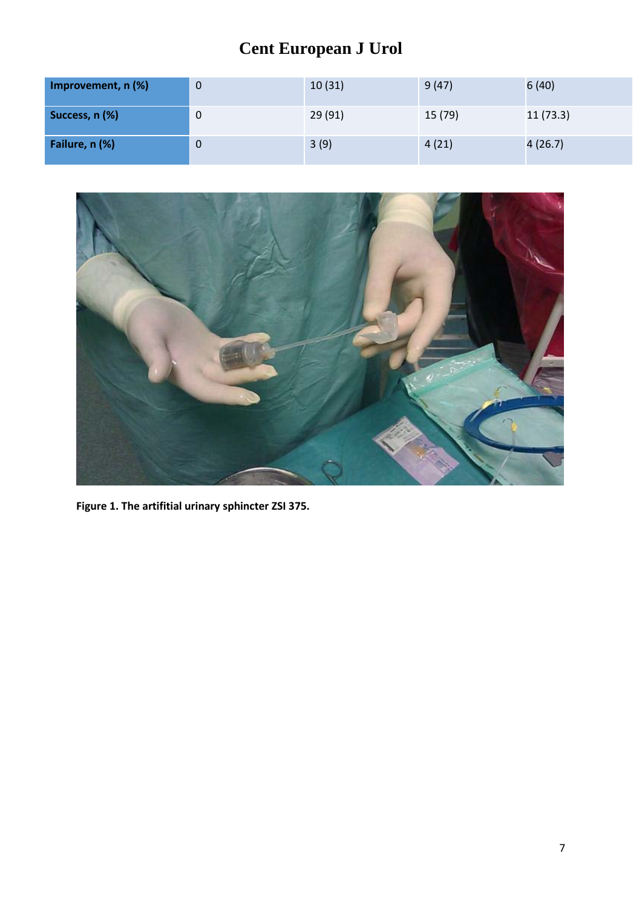| Improvement, n (%) | 0           | 10(31) | 9(47)   | 6(40)    |
|--------------------|-------------|--------|---------|----------|
| Success, n (%)     | 0           | 29(91) | 15 (79) | 11(73.3) |
| Failure, n (%)     | $\mathbf 0$ | 3(9)   | 4(21)   | 4(26.7)  |



**Figure 1. The artifitial urinary sphincter ZSI 375.**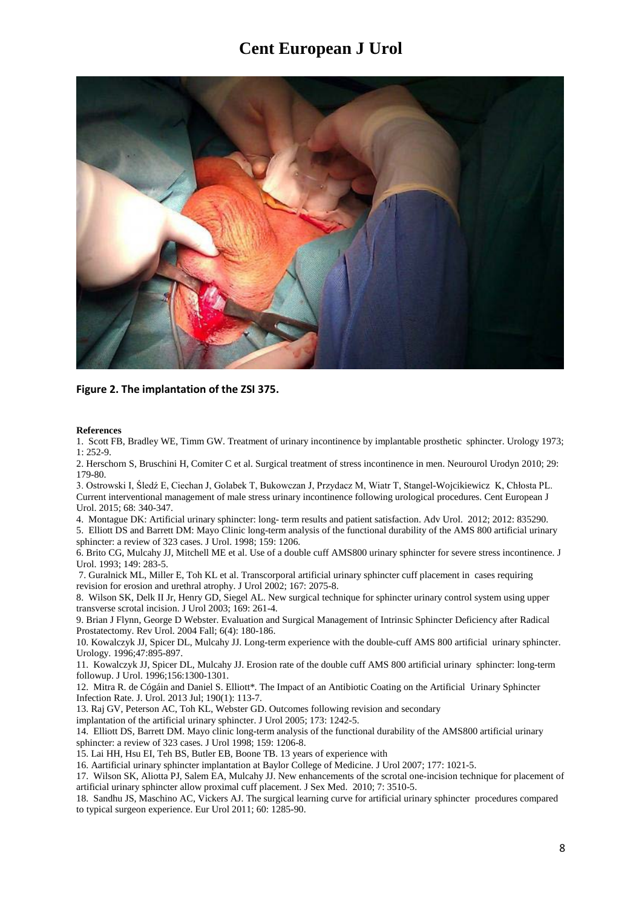

**Figure 2. The implantation of the ZSI 375.**

#### **References**

1. Scott FB, Bradley WE, Timm GW. Treatment of urinary incontinence by implantable prosthetic sphincter. Urology 1973; 1: 252-9.

2. Herschorn S, Bruschini H, Comiter C et al. Surgical treatment of stress incontinence in men. Neurourol Urodyn 2010; 29: 179-80.

3. Ostrowski I, Śledź E, Ciechan J, Golabek T, Bukowczan J, Przydacz M, Wiatr T, Stangel-Wojcikiewicz K, Chłosta PL. Current interventional management of male stress urinary incontinence following urological procedures. Cent European J Urol. 2015; 68: 340-347.

4. Montague DK: Artificial urinary sphincter: long- term results and patient satisfaction. Adv Urol. 2012; 2012: 835290. 5. Elliott DS and Barrett DM: Mayo Clinic long-term analysis of the functional durability of the AMS 800 artificial urinary sphincter: a review of 323 cases. J Urol. 1998; 159: 1206.

6. Brito CG, Mulcahy JJ, Mitchell ME et al. Use of a double cuff AMS800 urinary sphincter for severe stress incontinence. J Urol. 1993; 149: 283-5.

7. Guralnick ML, Miller E, Toh KL et al. Transcorporal artificial urinary sphincter cuff placement in cases requiring revision for erosion and urethral atrophy. J Urol 2002; 167: 2075-8.

8. Wilson SK, Delk II Jr, Henry GD, Siegel AL. New surgical technique for sphincter urinary control system using upper transverse scrotal incision. J Urol 2003; 169: 261-4.

9. Brian J Flynn, George D Webster. Evaluation and Surgical Management of Intrinsic Sphincter Deficiency after Radical Prostatectomy. Rev Urol. 2004 Fall; 6(4): 180-186.

10. Kowalczyk JJ, Spicer DL, Mulcahy JJ. Long-term experience with the double-cuff AMS 800 artificial urinary sphincter. Urology. 1996;47:895-897.

11. Kowalczyk JJ, Spicer DL, Mulcahy JJ. Erosion rate of the double cuff AMS 800 artificial urinary sphincter: long-term followup. J Urol. 1996;156:1300-1301.

12. Mitra R. de Cógáin and Daniel S. Elliott\*. The Impact of an Antibiotic Coating on the Artificial Urinary Sphincter Infection Rate. J. Urol. 2013 Jul; 190(1): 113-7.

13. Raj GV, Peterson AC, Toh KL, Webster GD. Outcomes following revision and secondary

implantation of the artificial urinary sphincter. J Urol 2005; 173: 1242-5.

14. Elliott DS, Barrett DM. Mayo clinic long-term analysis of the functional durability of the AMS800 artificial urinary sphincter: a review of 323 cases. J Urol 1998; 159: 1206-8.

15. Lai HH, Hsu EI, Teh BS, Butler EB, Boone TB. 13 years of experience with

16. Aartificial urinary sphincter implantation at Baylor College of Medicine. J Urol 2007; 177: 1021-5.

17. Wilson SK, Aliotta PJ, Salem EA, Mulcahy JJ. New enhancements of the scrotal one-incision technique for placement of artificial urinary sphincter allow proximal cuff placement. J Sex Med. 2010; 7: 3510-5.

18. Sandhu JS, Maschino AC, Vickers AJ. The surgical learning curve for artificial urinary sphincter procedures compared to typical surgeon experience. Eur Urol 2011; 60: 1285-90.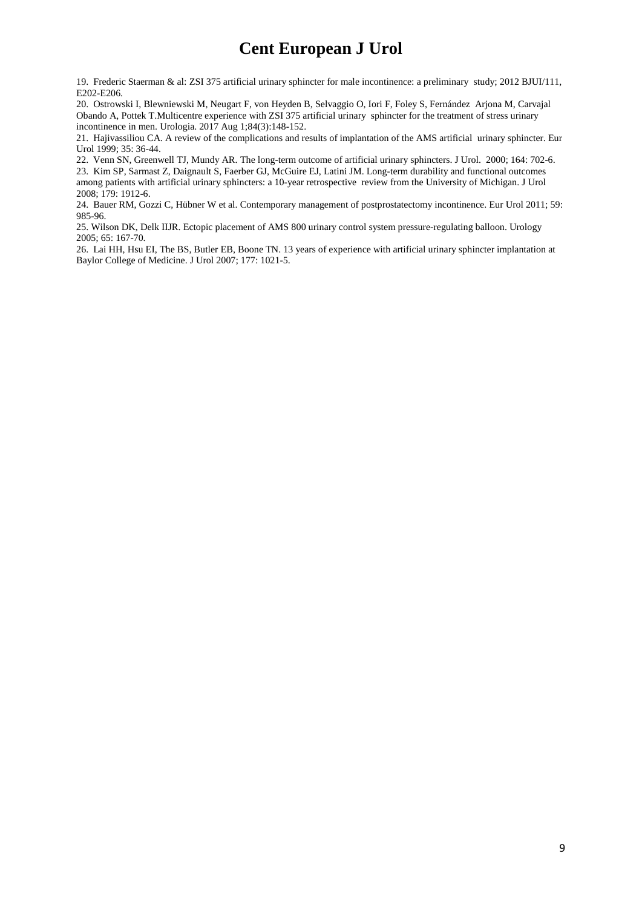19. Frederic Staerman & al: ZSI 375 artificial urinary sphincter for male incontinence: a preliminary study; 2012 BJUI/111, E202-E206.

20. Ostrowski I, Blewniewski M, Neugart F, von Heyden B, Selvaggio O, Iori F, Foley S, Fernández Arjona M, Carvajal Obando A, Pottek T.Multicentre experience with ZSI 375 artificial urinary sphincter for the treatment of stress urinary incontinence in men. Urologia. 2017 Aug 1;84(3):148-152.

21. Hajivassiliou CA. A review of the complications and results of implantation of the AMS artificial urinary sphincter. Eur Urol 1999; 35: 36-44.

22. Venn SN, Greenwell TJ, Mundy AR. The long-term outcome of artificial urinary sphincters. J Urol. 2000; 164: 702-6. 23. Kim SP, Sarmast Z, Daignault S, Faerber GJ, McGuire EJ, Latini JM. Long-term durability and functional outcomes among patients with artificial urinary sphincters: a 10-year retrospective review from the University of Michigan. J Urol 2008; 179: 1912-6.

24. Bauer RM, Gozzi C, Hübner W et al. Contemporary management of postprostatectomy incontinence. Eur Urol 2011; 59: 985-96.

25. Wilson DK, Delk IIJR. Ectopic placement of AMS 800 urinary control system pressure-regulating balloon. Urology 2005; 65: 167-70.

26. Lai HH, Hsu EI, The BS, Butler EB, Boone TN. 13 years of experience with artificial urinary sphincter implantation at Baylor College of Medicine. J Urol 2007; 177: 1021-5.